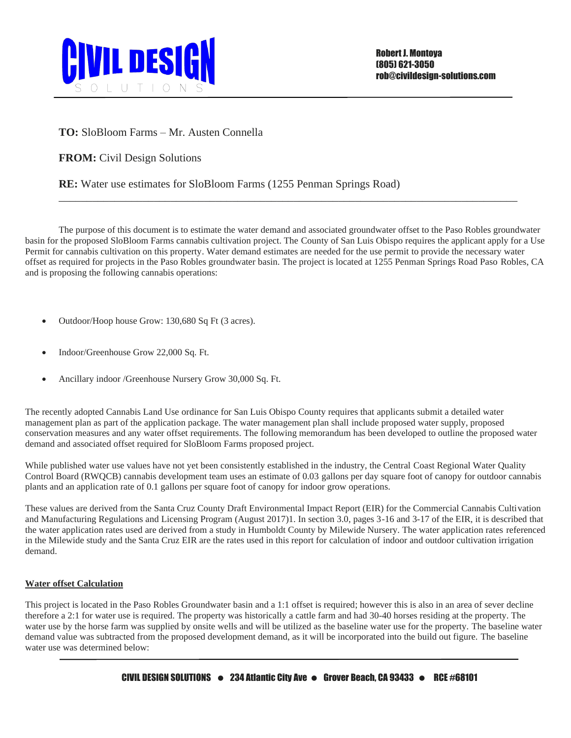

## **TO:** SloBloom Farms – Mr. Austen Connella

**FROM:** Civil Design Solutions

**RE:** Water use estimates for SloBloom Farms (1255 Penman Springs Road)

The purpose of this document is to estimate the water demand and associated groundwater offset to the Paso Robles groundwater basin for the proposed SloBloom Farms cannabis cultivation project. The County of San Luis Obispo requires the applicant apply for a Use Permit for cannabis cultivation on this property. Water demand estimates are needed for the use permit to provide the necessary water offset as required for projects in the Paso Robles groundwater basin. The project is located at 1255 Penman Springs Road Paso Robles, CA and is proposing the following cannabis operations:

\_\_\_\_\_\_\_\_\_\_\_\_\_\_\_\_\_\_\_\_\_\_\_\_\_\_\_\_\_\_\_\_\_\_\_\_\_\_\_\_\_\_\_\_\_\_\_\_\_\_\_\_\_\_\_\_\_\_\_\_\_\_\_\_\_\_\_\_\_\_\_\_\_\_\_\_\_\_\_\_\_\_

- Outdoor/Hoop house Grow: 130,680 Sq Ft (3 acres).
- Indoor/Greenhouse Grow 22,000 Sq. Ft.
- Ancillary indoor /Greenhouse Nursery Grow 30,000 Sq. Ft.

The recently adopted Cannabis Land Use ordinance for San Luis Obispo County requires that applicants submit a detailed water management plan as part of the application package. The water management plan shall include proposed water supply, proposed conservation measures and any water offset requirements. The following memorandum has been developed to outline the proposed water demand and associated offset required for SloBloom Farms proposed project.

While published water use values have not yet been consistently established in the industry, the Central Coast Regional Water Quality Control Board (RWQCB) cannabis development team uses an estimate of 0.03 gallons per day square foot of canopy for outdoor cannabis plants and an application rate of 0.1 gallons per square foot of canopy for indoor grow operations.

These values are derived from the Santa Cruz County Draft Environmental Impact Report (EIR) for the Commercial Cannabis Cultivation and Manufacturing Regulations and Licensing Program (August 2017)1. In section 3.0, pages 3-16 and 3-17 of the EIR, it is described that the water application rates used are derived from a study in Humboldt County by Milewide Nursery. The water application rates referenced in the Milewide study and the Santa Cruz EIR are the rates used in this report for calculation of indoor and outdoor cultivation irrigation demand.

## **Water offset Calculation**

This project is located in the Paso Robles Groundwater basin and a 1:1 offset is required; however this is also in an area of sever decline therefore a 2:1 for water use is required. The property was historically a cattle farm and had 30-40 horses residing at the property. The water use by the horse farm was supplied by onsite wells and will be utilized as the baseline water use for the property. The baseline water demand value was subtracted from the proposed development demand, as it will be incorporated into the build out figure. The baseline water use was determined below: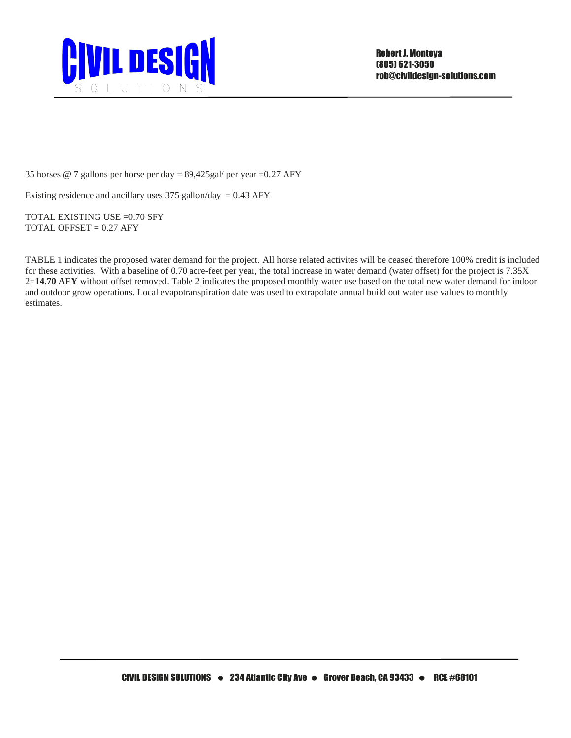

35 horses @ 7 gallons per horse per day = 89,425gal/ per year =0.27 AFY

Existing residence and ancillary uses  $375$  gallon/day = 0.43 AFY

TOTAL EXISTING USE =0.70 SFY TOTAL OFFSET  $= 0.27$  AFY

TABLE 1 indicates the proposed water demand for the project. All horse related activites will be ceased therefore 100% credit is included for these activities. With a baseline of 0.70 acre-feet per year, the total increase in water demand (water offset) for the project is 7.35X 2=**14.70 AFY** without offset removed. Table 2 indicates the proposed monthly water use based on the total new water demand for indoor and outdoor grow operations. Local evapotranspiration date was used to extrapolate annual build out water use values to monthly estimates.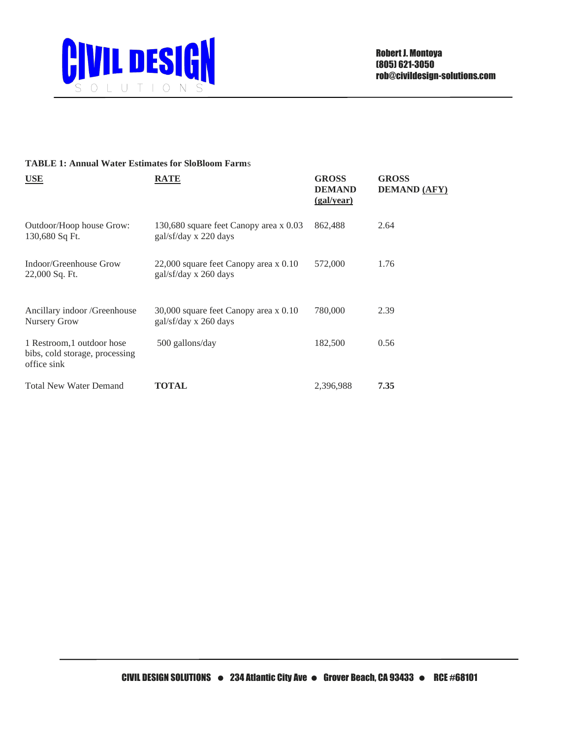

## **TABLE 1: Annual Water Estimates for SloBloom Farm**s

| <b>USE</b>                                                                  | RATE                                                            | <b>GROSS</b><br><b>DEMAND</b><br>(gal/year) | <b>GROSS</b><br><b>DEMAND (AFY)</b> |
|-----------------------------------------------------------------------------|-----------------------------------------------------------------|---------------------------------------------|-------------------------------------|
| Outdoor/Hoop house Grow:<br>130,680 Sq Ft.                                  | 130,680 square feet Canopy area x 0.03<br>gal/sf/day x 220 days | 862,488                                     | 2.64                                |
| Indoor/Greenhouse Grow<br>22,000 Sq. Ft.                                    | 22,000 square feet Canopy area x 0.10<br>gal/sf/day x 260 days  | 572,000                                     | 1.76                                |
| Ancillary indoor /Greenhouse<br>Nursery Grow                                | 30,000 square feet Canopy area x 0.10<br>gal/sf/day x 260 days  | 780,000                                     | 2.39                                |
| 1 Restroom, 1 outdoor hose<br>bibs, cold storage, processing<br>office sink | 500 gallons/day                                                 | 182,500                                     | 0.56                                |
| <b>Total New Water Demand</b>                                               | <b>TOTAL</b>                                                    | 2,396,988                                   | 7.35                                |